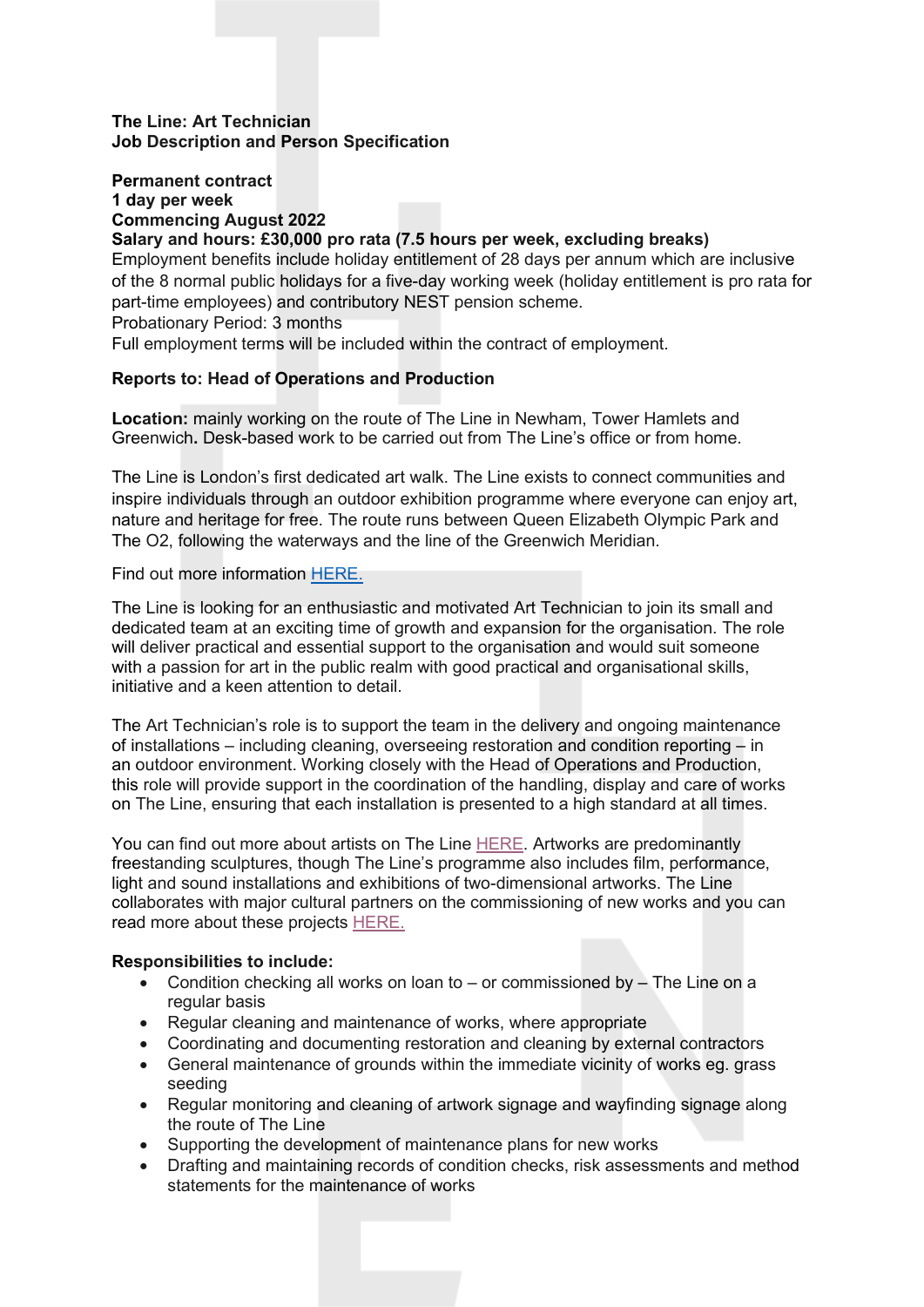#### **The Line: Art Technician Job Description and Person Specification**

## **Permanent contract 1 day per week Commencing August 2022**

**Salary and hours: £30,000 pro rata (7.5 hours per week, excluding breaks)**  Employment benefits include holiday entitlement of 28 days per annum which are inclusive of the 8 normal public holidays for a five-day working week (holiday entitlement is pro rata for part-time employees) and contributory NEST pension scheme.

Probationary Period: 3 months

Full employment terms will be included within the contract of employment.

### **Reports to: Head of Operations and Production**

**Location:** mainly working on the route of The Line in Newham, Tower Hamlets and Greenwich**.** Desk-based work to be carried out from The Line's office or from home.

The Line is London's first dedicated art walk. The Line exists to connect communities and inspire individuals through an outdoor exhibition programme where everyone can enjoy art, nature and heritage for free. The route runs between Queen Elizabeth Olympic Park and The O2, following the waterways and the line of the Greenwich Meridian.

Find out more information [HERE.](https://the-line.org/)

The Line is looking for an enthusiastic and motivated Art Technician to join its small and dedicated team at an exciting time of growth and expansion for the organisation. The role will deliver practical and essential support to the organisation and would suit someone with a passion for art in the public realm with good practical and organisational skills, initiative and a keen attention to detail.

The Art Technician's role is to support the team in the delivery and ongoing maintenance of installations – including cleaning, overseeing restoration and condition reporting – in an outdoor environment. Working closely with the Head of Operations and Production, this role will provide support in the coordination of the handling, display and care of works on The Line, ensuring that each installation is presented to a high standard at all times.

You can find out more about artists on The Line [HERE.](https://the-line.org/artists/) Artworks are predominantly freestanding sculptures, though The Line's programme also includes film, performance, light and sound installations and exhibitions of two-dimensional artworks. The Line collaborates with major cultural partners on the commissioning of new works and you can read more about these projects [HERE.](https://the-line.org/collaborations/)

#### **Responsibilities to include:**

- Condition checking all works on loan to or commissioned by The Line on a regular basis
- Regular cleaning and maintenance of works, where appropriate
- Coordinating and documenting restoration and cleaning by external contractors
- General maintenance of grounds within the immediate vicinity of works eg. grass seeding
- Regular monitoring and cleaning of artwork signage and wayfinding signage along the route of The Line
- Supporting the development of maintenance plans for new works
- Drafting and maintaining records of condition checks, risk assessments and method statements for the maintenance of works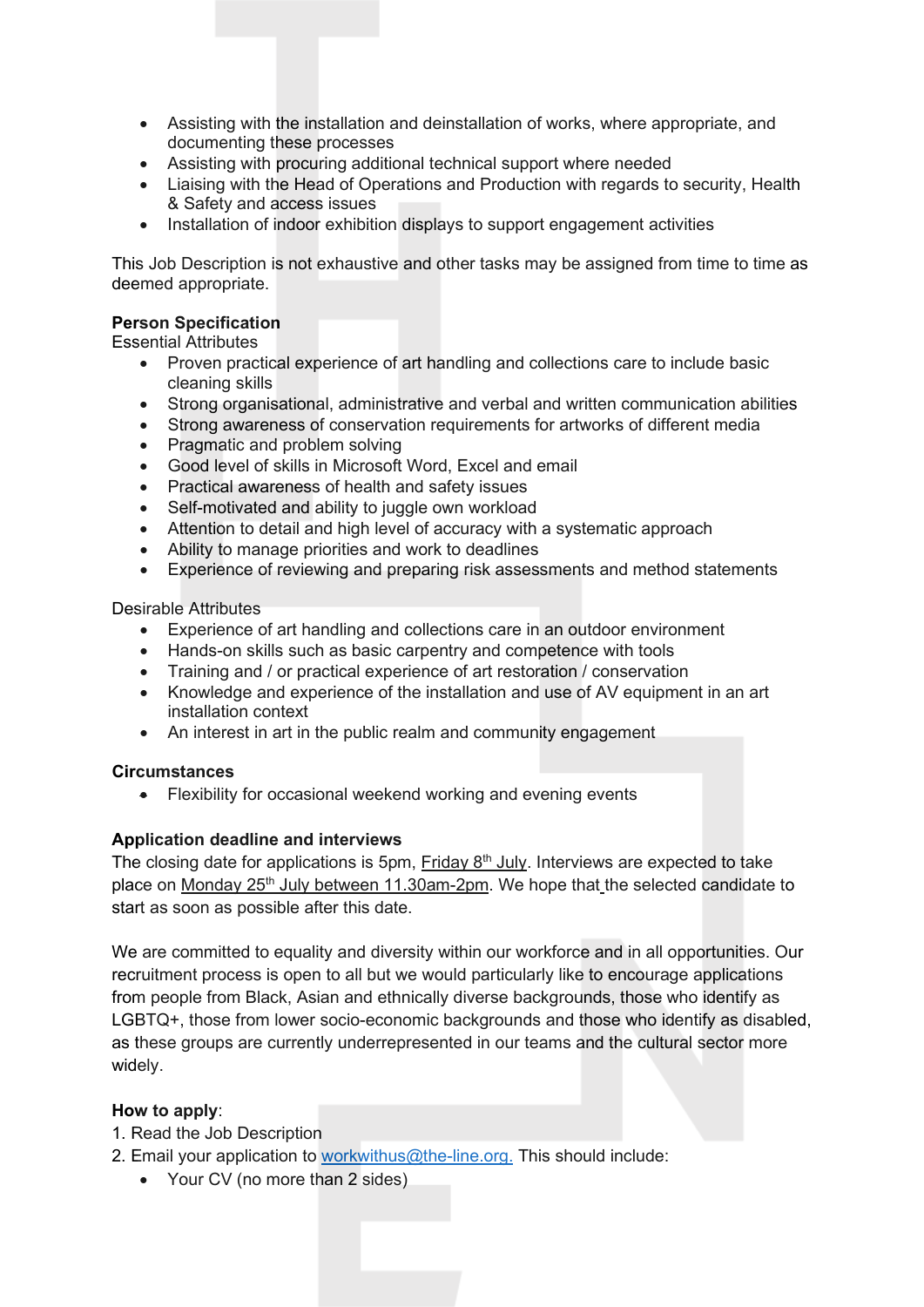- Assisting with the installation and deinstallation of works, where appropriate, and documenting these processes
- Assisting with procuring additional technical support where needed
- Liaising with the Head of Operations and Production with regards to security, Health & Safety and access issues
- Installation of indoor exhibition displays to support engagement activities

This Job Description is not exhaustive and other tasks may be assigned from time to time as deemed appropriate.

#### **Person Specification**

Essential Attributes

- Proven practical experience of art handling and collections care to include basic cleaning skills
- Strong organisational, administrative and verbal and written communication abilities
- Strong awareness of conservation requirements for artworks of different media
- Pragmatic and problem solving
- Good level of skills in Microsoft Word, Excel and email
- Practical awareness of health and safety issues
- Self-motivated and ability to juggle own workload
- Attention to detail and high level of accuracy with a systematic approach
- Ability to manage priorities and work to deadlines
- Experience of reviewing and preparing risk assessments and method statements

Desirable Attributes

- Experience of art handling and collections care in an outdoor environment
- Hands-on skills such as basic carpentry and competence with tools
- Training and / or practical experience of art restoration / conservation
- Knowledge and experience of the installation and use of AV equipment in an art installation context
- An interest in art in the public realm and community engagement

#### **Circumstances**

• Flexibility for occasional weekend working and evening events

#### **Application deadline and interviews**

The closing date for applications is 5pm, Friday  $8<sup>th</sup>$  July. Interviews are expected to take place on Monday  $25<sup>th</sup>$  July between 11.30am-2pm. We hope that the selected candidate to start as soon as possible after this date.

We are committed to equality and diversity within our workforce and in all opportunities. Our recruitment process is open to all but we would particularly like to encourage applications from people from Black, Asian and ethnically diverse backgrounds, those who identify as LGBTQ+, those from lower socio-economic backgrounds and those who identify as disabled, as these groups are currently underrepresented in our teams and the cultural sector more widely.

#### **How to apply**:

- 1. Read the Job Description
- 2. Email your application to [workwithus@the-line.org.](mailto:workwithus@the-line.org) This should include:
	- Your CV (no more than 2 sides)